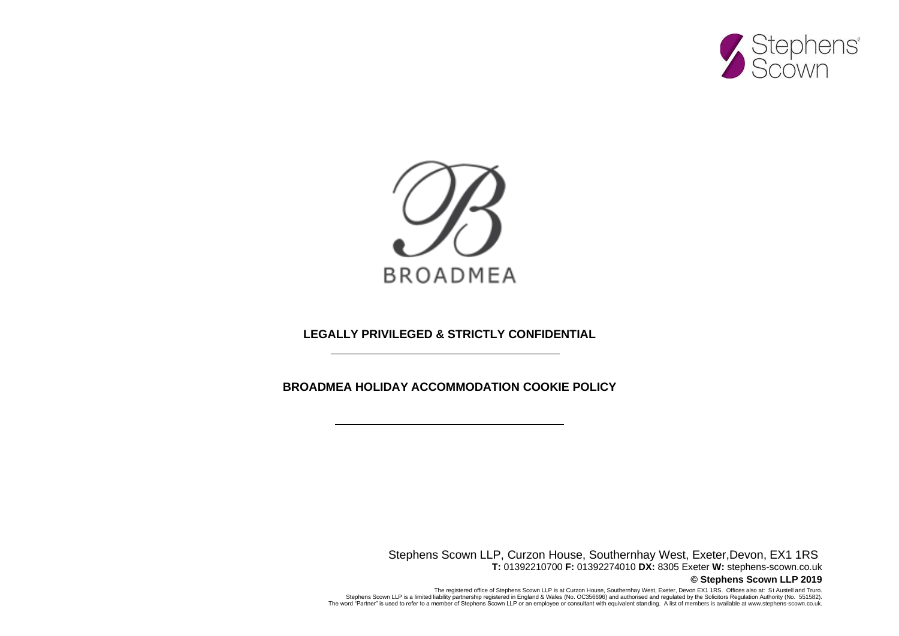



**LEGALLY PRIVILEGED & STRICTLY CONFIDENTIAL**

**BROADMEA HOLIDAY ACCOMMODATION COOKIE POLICY**

Stephens Scown LLP, Curzon House, Southernhay West, Exeter,Devon, EX1 1RS **T:** 01392210700 **F:** 01392274010 **DX:** 8305 Exeter **W:** stephens-scown.co.uk **© Stephens Scown LLP 2019**

The registered office of Stephens Scown LLP is at Curzon House, Southernhay West, Exeter, Devon EX1 1RS. Offices also at: St Austell and Truro.<br>(No. OC356696) and authorised and regulated by the Solicitors Regulation Autho The word "Partner" is used to refer to a member of Stephens Scown LLP or an employee or consultant with equivalent standing. A list of members is available at www.stephens-scown.co.uk.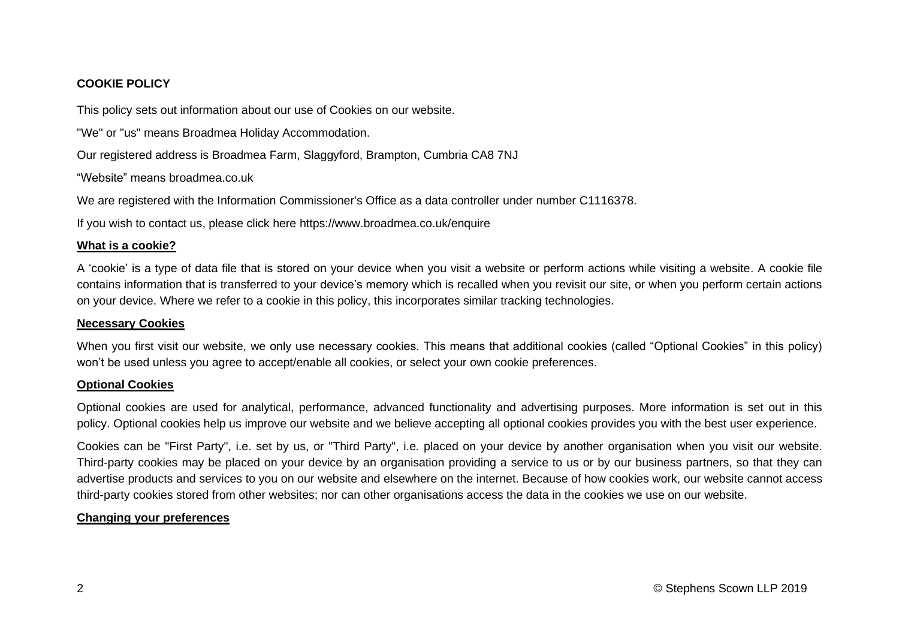# **COOKIE POLICY**

This policy sets out information about our use of Cookies on our website.

"We" or "us" means Broadmea Holiday Accommodation.

Our registered address is Broadmea Farm, Slaggyford, Brampton, Cumbria CA8 7NJ

"Website" means broadmea.co.uk

We are registered with the Information Commissioner's Office as a data controller under number C1116378.

If you wish to contact us, please click here https://www.broadmea.co.uk/enquire

## **What is a cookie?**

A 'cookie' is a type of data file that is stored on your device when you visit a website or perform actions while visiting a website. A cookie file contains information that is transferred to your device's memory which is recalled when you revisit our site, or when you perform certain actions on your device. Where we refer to a cookie in this policy, this incorporates similar tracking technologies.

## **Necessary Cookies**

When you first visit our website, we only use necessary cookies. This means that additional cookies (called "Optional Cookies" in this policy) won't be used unless you agree to accept/enable all cookies, or select your own cookie preferences.

## **Optional Cookies**

Optional cookies are used for analytical, performance, advanced functionality and advertising purposes. More information is set out in this policy. Optional cookies help us improve our website and we believe accepting all optional cookies provides you with the best user experience.

Cookies can be "First Party", i.e. set by us, or "Third Party", i.e. placed on your device by another organisation when you visit our website. Third-party cookies may be placed on your device by an organisation providing a service to us or by our business partners, so that they can advertise products and services to you on our website and elsewhere on the internet. Because of how cookies work, our website cannot access third-party cookies stored from other websites; nor can other organisations access the data in the cookies we use on our website.

## **Changing your preferences**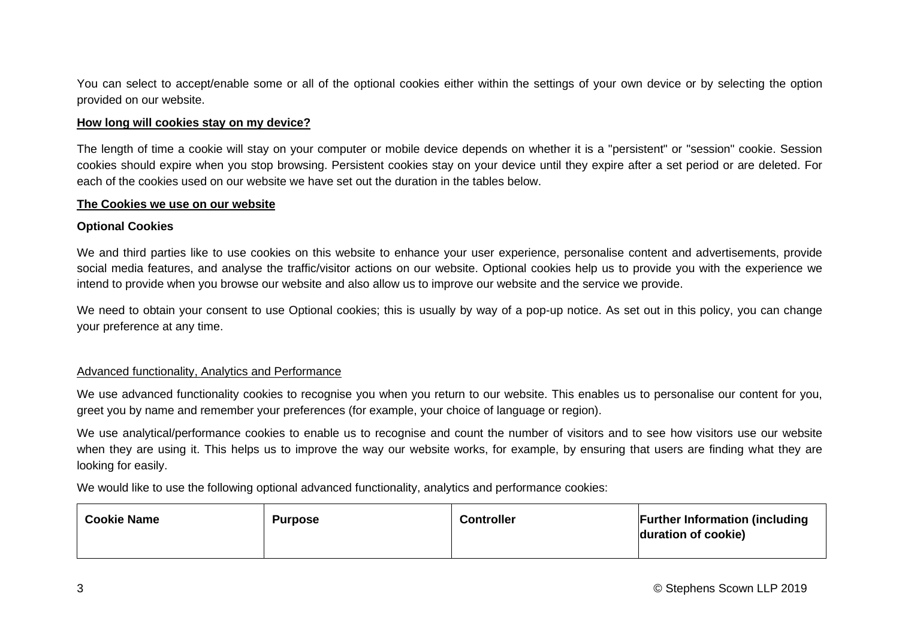You can select to accept/enable some or all of the optional cookies either within the settings of your own device or by selecting the option provided on our website.

## **How long will cookies stay on my device?**

The length of time a cookie will stay on your computer or mobile device depends on whether it is a "persistent" or "session" cookie. Session cookies should expire when you stop browsing. Persistent cookies stay on your device until they expire after a set period or are deleted. For each of the cookies used on our website we have set out the duration in the tables below.

#### **The Cookies we use on our website**

## **Optional Cookies**

We and third parties like to use cookies on this website to enhance your user experience, personalise content and advertisements, provide social media features, and analyse the traffic/visitor actions on our website. Optional cookies help us to provide you with the experience we intend to provide when you browse our website and also allow us to improve our website and the service we provide.

We need to obtain your consent to use Optional cookies; this is usually by way of a pop-up notice. As set out in this policy, you can change your preference at any time.

## Advanced functionality, Analytics and Performance

We use advanced functionality cookies to recognise you when you return to our website. This enables us to personalise our content for you, greet you by name and remember your preferences (for example, your choice of language or region).

We use analytical/performance cookies to enable us to recognise and count the number of visitors and to see how visitors use our website when they are using it. This helps us to improve the way our website works, for example, by ensuring that users are finding what they are looking for easily.

We would like to use the following optional advanced functionality, analytics and performance cookies:

| <b>Cookie Name</b> | <b>Purpose</b> | <b>Controller</b> | <b>Further Information (including</b><br>duration of cookie) |
|--------------------|----------------|-------------------|--------------------------------------------------------------|
|--------------------|----------------|-------------------|--------------------------------------------------------------|